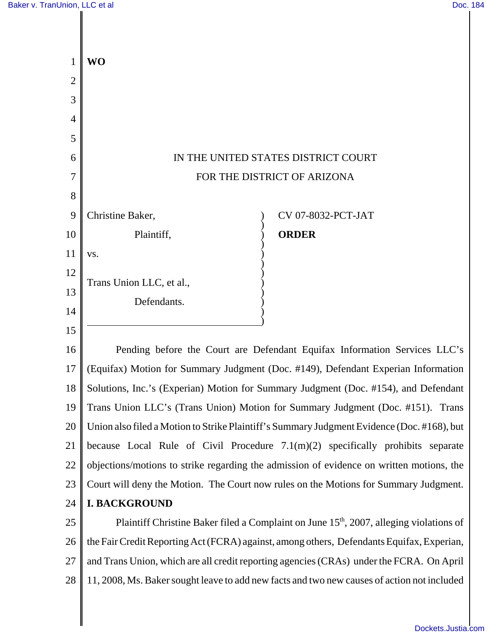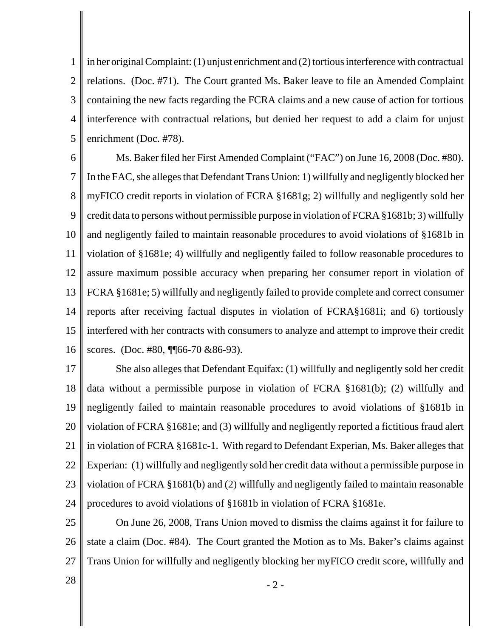1 2 3 4 5 in her original Complaint: (1) unjust enrichment and (2) tortious interference with contractual relations. (Doc. #71). The Court granted Ms. Baker leave to file an Amended Complaint containing the new facts regarding the FCRA claims and a new cause of action for tortious interference with contractual relations, but denied her request to add a claim for unjust enrichment (Doc. #78).

6 7 8 9 10 11 12 13 14 15 16 Ms. Baker filed her First Amended Complaint ("FAC") on June 16, 2008 (Doc. #80). In the FAC, she alleges that Defendant Trans Union: 1) willfully and negligently blocked her myFICO credit reports in violation of FCRA §1681g; 2) willfully and negligently sold her credit data to persons without permissible purpose in violation of FCRA §1681b; 3) willfully and negligently failed to maintain reasonable procedures to avoid violations of §1681b in violation of §1681e; 4) willfully and negligently failed to follow reasonable procedures to assure maximum possible accuracy when preparing her consumer report in violation of FCRA §1681e; 5) willfully and negligently failed to provide complete and correct consumer reports after receiving factual disputes in violation of FCRA§1681i; and 6) tortiously interfered with her contracts with consumers to analyze and attempt to improve their credit scores. (Doc. #80, ¶¶66-70 & 86-93).

17 18 19 20 21 22 23 24 She also alleges that Defendant Equifax: (1) willfully and negligently sold her credit data without a permissible purpose in violation of FCRA §1681(b); (2) willfully and negligently failed to maintain reasonable procedures to avoid violations of §1681b in violation of FCRA §1681e; and (3) willfully and negligently reported a fictitious fraud alert in violation of FCRA §1681c-1. With regard to Defendant Experian, Ms. Baker alleges that Experian: (1) willfully and negligently sold her credit data without a permissible purpose in violation of FCRA §1681(b) and (2) willfully and negligently failed to maintain reasonable procedures to avoid violations of §1681b in violation of FCRA §1681e.

25 26 27 On June 26, 2008, Trans Union moved to dismiss the claims against it for failure to state a claim (Doc. #84). The Court granted the Motion as to Ms. Baker's claims against Trans Union for willfully and negligently blocking her myFICO credit score, willfully and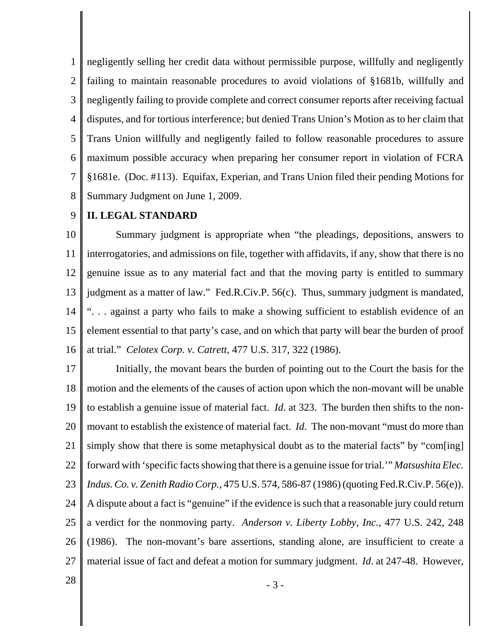1 2 3 4 5 6 7 8 negligently selling her credit data without permissible purpose, willfully and negligently failing to maintain reasonable procedures to avoid violations of §1681b, willfully and negligently failing to provide complete and correct consumer reports after receiving factual disputes, and for tortious interference; but denied Trans Union's Motion as to her claim that Trans Union willfully and negligently failed to follow reasonable procedures to assure maximum possible accuracy when preparing her consumer report in violation of FCRA §1681e. (Doc. #113). Equifax, Experian, and Trans Union filed their pending Motions for Summary Judgment on June 1, 2009.

#### 9 **II. LEGAL STANDARD**

10 11 12 13 14 15 16 Summary judgment is appropriate when "the pleadings, depositions, answers to interrogatories, and admissions on file, together with affidavits, if any, show that there is no genuine issue as to any material fact and that the moving party is entitled to summary judgment as a matter of law." Fed.R.Civ.P. 56(c). Thus, summary judgment is mandated, ". . . against a party who fails to make a showing sufficient to establish evidence of an element essential to that party's case, and on which that party will bear the burden of proof at trial." *Celotex Corp. v. Catrett*, 477 U.S. 317, 322 (1986).

17 18 19 20 21 22 23 24 25 26 27 Initially, the movant bears the burden of pointing out to the Court the basis for the motion and the elements of the causes of action upon which the non-movant will be unable to establish a genuine issue of material fact. *Id*. at 323. The burden then shifts to the nonmovant to establish the existence of material fact. *Id*. The non-movant "must do more than simply show that there is some metaphysical doubt as to the material facts" by "com[ing] forward with 'specific facts showing that there is a genuine issue for trial.'" *Matsushita Elec. Indus. Co. v. Zenith Radio Corp.*, 475 U.S. 574, 586-87 (1986) (quoting Fed.R.Civ.P. 56(e)). A dispute about a fact is "genuine" if the evidence is such that a reasonable jury could return a verdict for the nonmoving party. *Anderson v. Liberty Lobby, Inc.*, 477 U.S. 242, 248 (1986). The non-movant's bare assertions, standing alone, are insufficient to create a material issue of fact and defeat a motion for summary judgment. *Id*. at 247-48. However,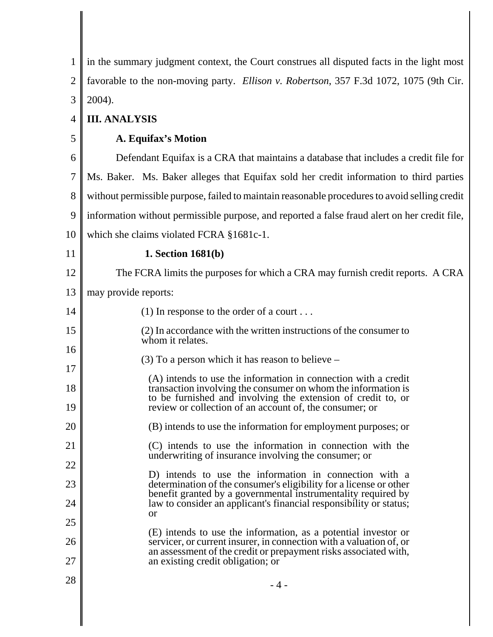| 1              | in the summary judgment context, the Court construes all disputed facts in the light most                                                                                                       |
|----------------|-------------------------------------------------------------------------------------------------------------------------------------------------------------------------------------------------|
| $\overline{2}$ | favorable to the non-moving party. Ellison v. Robertson, 357 F.3d 1072, 1075 (9th Cir.                                                                                                          |
| 3              | 2004).                                                                                                                                                                                          |
| 4              | <b>III. ANALYSIS</b>                                                                                                                                                                            |
| 5              | A. Equifax's Motion                                                                                                                                                                             |
| 6              | Defendant Equitax is a CRA that maintains a database that includes a credit file for                                                                                                            |
| 7              | Ms. Baker. Ms. Baker alleges that Equifax sold her credit information to third parties                                                                                                          |
| 8              | without permissible purpose, failed to maintain reasonable procedures to avoid selling credit                                                                                                   |
| 9              | information without permissible purpose, and reported a false fraud alert on her credit file,                                                                                                   |
| 10             | which she claims violated FCRA §1681c-1.                                                                                                                                                        |
| 11             | 1. Section 1681(b)                                                                                                                                                                              |
| 12             | The FCRA limits the purposes for which a CRA may furnish credit reports. A CRA                                                                                                                  |
| 13             | may provide reports:                                                                                                                                                                            |
| 14             | (1) In response to the order of a court                                                                                                                                                         |
| 15             | (2) In accordance with the written instructions of the consumer to<br>whom it relates.                                                                                                          |
| 16<br>17       | $(3)$ To a person which it has reason to believe –                                                                                                                                              |
| 18             | (A) intends to use the information in connection with a credit<br>transaction involving the consumer on whom the information is<br>to be furnished and involving the extension of credit to, or |
| 19             | review or collection of an account of, the consumer; or                                                                                                                                         |
| 20             | (B) intends to use the information for employment purposes; or                                                                                                                                  |
| 21             | (C) intends to use the information in connection with the<br>underwriting of insurance involving the consumer; or                                                                               |
| 22             | D) intends to use the information in connection with a                                                                                                                                          |
| 23             | determination of the consumer's eligibility for a license or other<br>benefit granted by a governmental instrumentality required by                                                             |
| 24             | law to consider an applicant's financial responsibility or status;<br>or                                                                                                                        |
| 25             | (E) intends to use the information, as a potential investor or                                                                                                                                  |
| 26<br>27       | servicer, or current insurer, in connection with a valuation of, or<br>an assessment of the credit or prepayment risks associated with,<br>an existing credit obligation; or                    |
| 28             | $-4-$                                                                                                                                                                                           |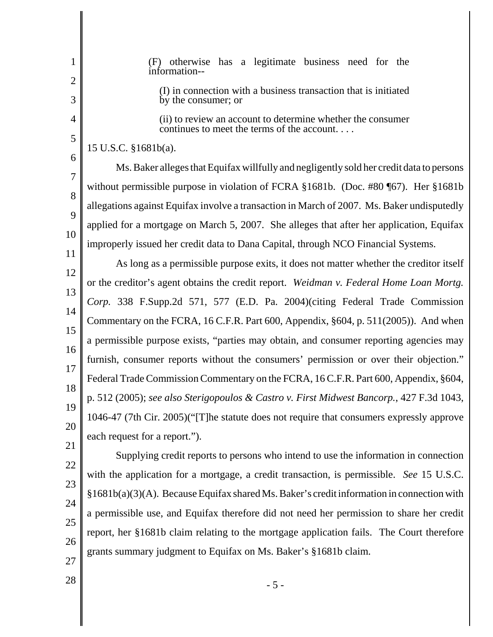1 2 3 4 5 6 7 8  $\mathbf Q$ 10 11 12 13 14 15 16 17 18 19 20 21 22 23 24 25 26 (F) otherwise has a legitimate business need for the information-- (I) in connection with a business transaction that is initiated by the consumer; or (ii) to review an account to determine whether the consumer continues to meet the terms of the account. . . . 15 U.S.C. §1681b(a). Ms. Baker alleges that Equifax willfully and negligently sold her credit data to persons without permissible purpose in violation of FCRA §1681b. (Doc. #80 ¶67). Her §1681b allegations against Equifax involve a transaction in March of 2007. Ms. Baker undisputedly applied for a mortgage on March 5, 2007. She alleges that after her application, Equifax improperly issued her credit data to Dana Capital, through NCO Financial Systems. As long as a permissible purpose exits, it does not matter whether the creditor itself or the creditor's agent obtains the credit report. *Weidman v. Federal Home Loan Mortg. Corp.* 338 F.Supp.2d 571, 577 (E.D. Pa. 2004)(citing Federal Trade Commission Commentary on the FCRA, 16 C.F.R. Part 600, Appendix, §604, p. 511(2005)). And when a permissible purpose exists, "parties may obtain, and consumer reporting agencies may furnish, consumer reports without the consumers' permission or over their objection." Federal Trade Commission Commentary on the FCRA, 16 C.F.R. Part 600, Appendix, §604, p. 512 (2005); *see also Sterigopoulos & Castro v. First Midwest Bancorp.*, 427 F.3d 1043, 1046-47 (7th Cir. 2005)("[T]he statute does not require that consumers expressly approve each request for a report."). Supplying credit reports to persons who intend to use the information in connection with the application for a mortgage, a credit transaction, is permissible. *See* 15 U.S.C. §1681b(a)(3)(A). Because Equifax shared Ms. Baker's credit information in connection with a permissible use, and Equifax therefore did not need her permission to share her credit report, her §1681b claim relating to the mortgage application fails. The Court therefore grants summary judgment to Equifax on Ms. Baker's §1681b claim.

- 27
- $28 \t 5 -$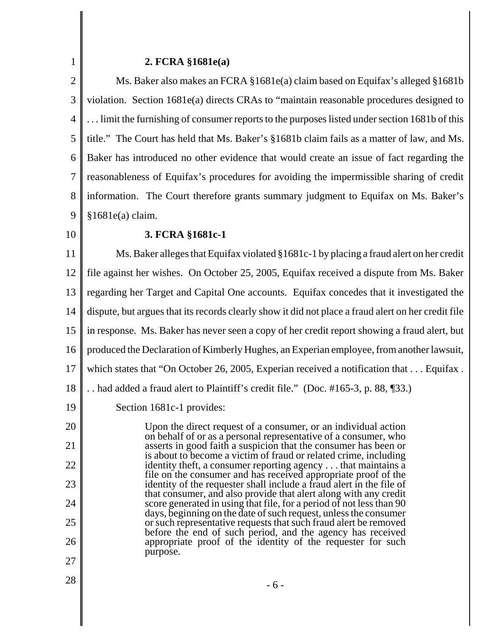#### **2. FCRA §1681e(a)**

2 3 4 5 6 7 8 9 Ms. Baker also makes an FCRA §1681e(a) claim based on Equifax's alleged §1681b violation. Section 1681e(a) directs CRAs to "maintain reasonable procedures designed to . . . limit the furnishing of consumer reports to the purposes listed under section 1681b of this title." The Court has held that Ms. Baker's §1681b claim fails as a matter of law, and Ms. Baker has introduced no other evidence that would create an issue of fact regarding the reasonableness of Equifax's procedures for avoiding the impermissible sharing of credit information. The Court therefore grants summary judgment to Equifax on Ms. Baker's §1681e(a) claim.

10

1

## **3. FCRA §1681c-1**

11 12 13 14 15 16 17 18 Ms. Baker alleges that Equifax violated §1681c-1 by placing a fraud alert on her credit file against her wishes. On October 25, 2005, Equifax received a dispute from Ms. Baker regarding her Target and Capital One accounts. Equifax concedes that it investigated the dispute, but argues that its records clearly show it did not place a fraud alert on her credit file in response. Ms. Baker has never seen a copy of her credit report showing a fraud alert, but produced the Declaration of Kimberly Hughes, an Experian employee, from another lawsuit, which states that "On October 26, 2005, Experian received a notification that ... Equifax. . . had added a fraud alert to Plaintiff's credit file." (Doc. #165-3, p. 88, ¶33.)

19 Section 1681c-1 provides:

Upon the direct request of a consumer, or an individual action on behalf of or as a personal representative of a consumer, who asserts in good faith a suspicion that the consumer has been or is about to become a victim of fraud or related crime, including identity theft, a consumer reporting agency . . . that maintains a file on the consumer and has received appropriate proof of the identity of the requester shall include a fraud alert in the file of that consumer, and also provide that alert along with any credit score generated in using that file, for a period of not less than 90 days, beginning on the date of such request, unless the consumer or such representative requests that such fraud alert be removed before the end of such period, and the agency has received appropriate proof of the identity of the requester for such purpose.

20

21

22

23

24

25

26

27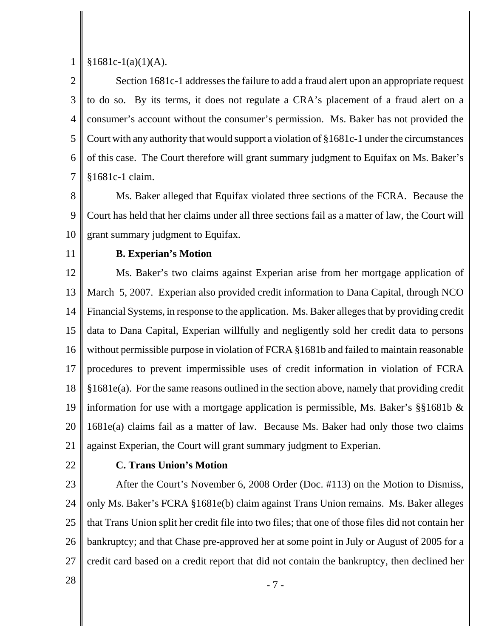1  $§1681c-1(a)(1)(A).$ 

2 3 4 5 6 7 Section 1681c-1 addresses the failure to add a fraud alert upon an appropriate request to do so. By its terms, it does not regulate a CRA's placement of a fraud alert on a consumer's account without the consumer's permission. Ms. Baker has not provided the Court with any authority that would support a violation of §1681c-1 under the circumstances of this case. The Court therefore will grant summary judgment to Equifax on Ms. Baker's §1681c-1 claim.

8 9 10 Ms. Baker alleged that Equifax violated three sections of the FCRA. Because the Court has held that her claims under all three sections fail as a matter of law, the Court will grant summary judgment to Equifax.

11

### **B. Experian's Motion**

12 13 14 15 16 17 18 19 20 21 Ms. Baker's two claims against Experian arise from her mortgage application of March 5, 2007. Experian also provided credit information to Dana Capital, through NCO Financial Systems, in response to the application. Ms. Baker alleges that by providing credit data to Dana Capital, Experian willfully and negligently sold her credit data to persons without permissible purpose in violation of FCRA §1681b and failed to maintain reasonable procedures to prevent impermissible uses of credit information in violation of FCRA §1681e(a). For the same reasons outlined in the section above, namely that providing credit information for use with a mortgage application is permissible, Ms. Baker's §§1681b & 1681e(a) claims fail as a matter of law. Because Ms. Baker had only those two claims against Experian, the Court will grant summary judgment to Experian.

22

# **C. Trans Union's Motion**

23 24 25 26 27 After the Court's November 6, 2008 Order (Doc. #113) on the Motion to Dismiss, only Ms. Baker's FCRA §1681e(b) claim against Trans Union remains. Ms. Baker alleges that Trans Union split her credit file into two files; that one of those files did not contain her bankruptcy; and that Chase pre-approved her at some point in July or August of 2005 for a credit card based on a credit report that did not contain the bankruptcy, then declined her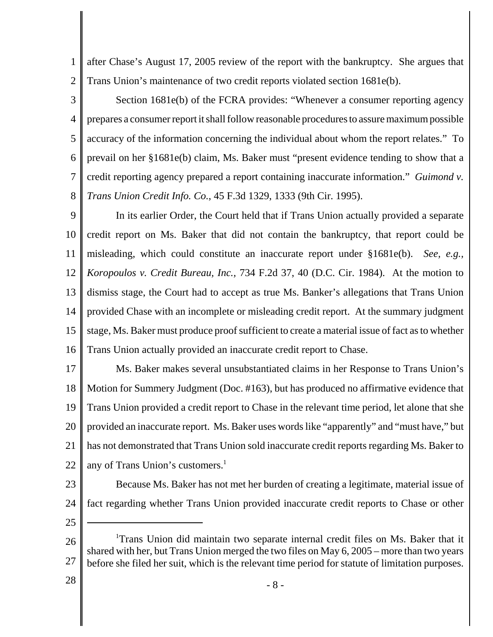1 2 after Chase's August 17, 2005 review of the report with the bankruptcy. She argues that Trans Union's maintenance of two credit reports violated section 1681e(b).

3 4 5 6 7 8 Section 1681e(b) of the FCRA provides: "Whenever a consumer reporting agency prepares a consumer report it shall follow reasonable procedures to assure maximum possible accuracy of the information concerning the individual about whom the report relates." To prevail on her §1681e(b) claim, Ms. Baker must "present evidence tending to show that a credit reporting agency prepared a report containing inaccurate information." *Guimond v. Trans Union Credit Info. Co.*, 45 F.3d 1329, 1333 (9th Cir. 1995).

9 10 11 12 13 14 15 16 In its earlier Order, the Court held that if Trans Union actually provided a separate credit report on Ms. Baker that did not contain the bankruptcy, that report could be misleading, which could constitute an inaccurate report under §1681e(b). *See, e.g., Koropoulos v. Credit Bureau, Inc.,* 734 F.2d 37, 40 (D.C. Cir. 1984). At the motion to dismiss stage, the Court had to accept as true Ms. Banker's allegations that Trans Union provided Chase with an incomplete or misleading credit report. At the summary judgment stage, Ms. Baker must produce proof sufficient to create a material issue of fact as to whether Trans Union actually provided an inaccurate credit report to Chase.

17 18 19 20 21 22 Ms. Baker makes several unsubstantiated claims in her Response to Trans Union's Motion for Summery Judgment (Doc. #163), but has produced no affirmative evidence that Trans Union provided a credit report to Chase in the relevant time period, let alone that she provided an inaccurate report. Ms. Baker uses words like "apparently" and "must have," but has not demonstrated that Trans Union sold inaccurate credit reports regarding Ms. Baker to any of Trans Union's customers.<sup>1</sup>

23

24

Because Ms. Baker has not met her burden of creating a legitimate, material issue of fact regarding whether Trans Union provided inaccurate credit reports to Chase or other

25

28

<sup>26</sup> 27 <sup>1</sup>Trans Union did maintain two separate internal credit files on Ms. Baker that it shared with her, but Trans Union merged the two files on May 6, 2005 – more than two years before she filed her suit, which is the relevant time period for statute of limitation purposes.